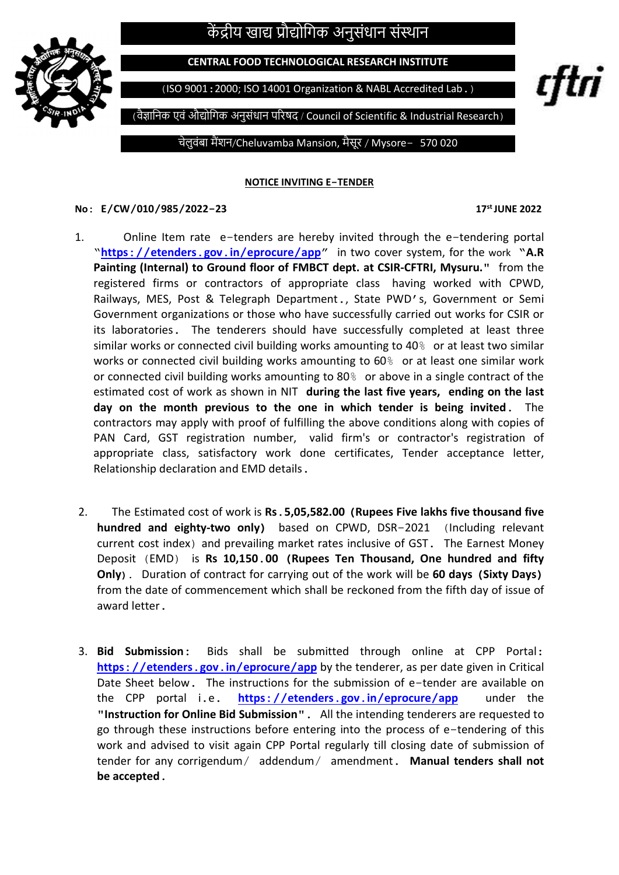## केंद्रीय खाद्य प्रौद्योगिक अनुसंधान संस्थान



CENTRAL FOOD TECHNOLOGICAL RESEARCH INSTITUTE

(ISO 9001:2000; ISO 14001 Organization & NABL Accredited Lab.)

(वैज्ञानिक एवं औद्योगिक अनुसंधान परिषद / Council of Scientific & Industrial Research)

चेलुवंबा मैंशन/Cheluvamba Mansion, मैसूर / Mysore– 570 020

NOTICE INVITING E-TENDER

## No: E/CW/010/985/2022-23 17st JUNE 2022

i

rțtri

- 1. Online Item rate e-tenders are hereby invited through the e-tendering portal "https://etenders.gov.in/eprocure/app" in two cover system, for the work "A.R Painting (Internal) to Ground floor of FMBCT dept. at CSIR-CFTRI, Mysuru." from the registered firms or contractors of appropriate class having worked with CPWD, Railways, MES, Post & Telegraph Department., State PWD's, Government or Semi Government organizations or those who have successfully carried out works for CSIR or its laboratories. The tenderers should have successfully completed at least three similar works or connected civil building works amounting to  $40\%$  or at least two similar works or connected civil building works amounting to 60% or at least one similar work or connected civil building works amounting to 80% or above in a single contract of the estimated cost of work as shown in NIT during the last five years, ending on the last day on the month previous to the one in which tender is being invited. The contractors may apply with proof of fulfilling the above conditions along with copies of PAN Card, GST registration number, valid firm's or contractor's registration of appropriate class, satisfactory work done certificates, Tender acceptance letter, Relationship declaration and EMD details.
- 2. The Estimated cost of work is Rs.5,05,582.00 (Rupees Five lakhs five thousand five hundred and eighty-two only) based on CPWD, DSR-2021 (Including relevant current cost index) and prevailing market rates inclusive of GST. The Earnest Money Deposit (EMD) is Rs 10,150.00 (Rupees Ten Thousand, One hundred and fifty Only). Duration of contract for carrying out of the work will be 60 days (Sixty Days) from the date of commencement which shall be reckoned from the fifth day of issue of award letter.
- 3. Bid Submission: Bids shall be submitted through online at CPP Portal: https://etenders.gov.in/eprocure/app by the tenderer, as per date given in Critical Date Sheet below. The instructions for the submission of e-tender are available on the CPP portal i.e. https://etenders.gov.in/eprocure/app under the "Instruction for Online Bid Submission". All the intending tenderers are requested to go through these instructions before entering into the process of e-tendering of this work and advised to visit again CPP Portal regularly till closing date of submission of tender for any corrigendum/ addendum/ amendment. Manual tenders shall not be accepted.